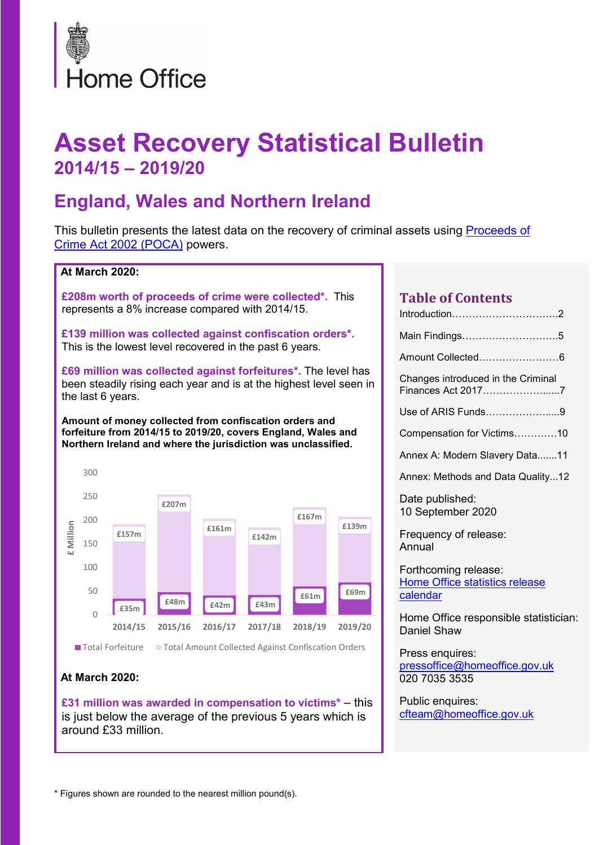

# **Asset Recovery Statistical Bulletin 2014/15 – 2019/20**

### **England, Wales and Northern Ireland**

This bulletin presents the latest data on the recovery of criminal assets using **Proceeds of** [Crime Act 2002 \(POCA\)](http://www.legislation.gov.uk/ukpga/2002/29/contents) powers.



### **At March 2020:**

**£31 million was awarded in compensation to victims\*** – this is just below the average of the previous 5 years which is around £33 million.

| <b>Table of Contents</b><br>Introduction2                          |
|--------------------------------------------------------------------|
| Main Findings5                                                     |
| Amount Collected6                                                  |
| Changes introduced in the Criminal<br>Finances Act 20177           |
| Use of ARIS Funds9                                                 |
| Compensation for Victims10                                         |
| Annex A: Modern Slavery Data11                                     |
| Annex: Methods and Data Quality12                                  |
| Date published:<br>10 September 2020                               |
| Frequency of release:<br>Annual                                    |
| Forthcoming release:<br>Home Office statistics release<br>calendar |
| Home Office responsible statistician:<br><b>Daniel Shaw</b>        |
| Press enquires:<br>pressoffice@homeoffice.gov.uk<br>020 7035 3535  |

Public enquires: [cfteam@homeoffice.gov.uk](mailto:cfteam@homeoffice.gov.uk)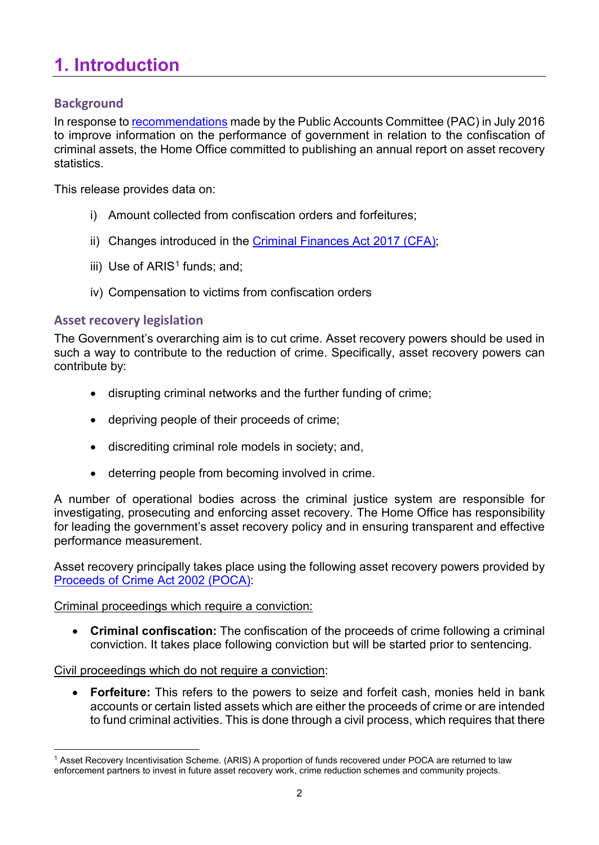# **1. Introduction**

### **Background**

In response to [recommendations](https://www.parliament.uk/business/committees/committees-a-z/commons-select/public-accounts-committee/inquiries/parliament-2015/confiscation-orders-progress-review-15-16/) made by the Public Accounts Committee (PAC) in July 2016 to improve information on the performance of government in relation to the confiscation of criminal assets, the Home Office committed to publishing an annual report on asset recovery statistics.

This release provides data on:

- i) Amount collected from confiscation orders and forfeitures;
- ii) Changes introduced in the [Criminal Finances Act 2017 \(CFA\);](http://www.legislation.gov.uk/ukpga/2017/22/contents/enacted)
- iii) Use of  $ARIS<sup>1</sup>$  $ARIS<sup>1</sup>$  $ARIS<sup>1</sup>$  funds; and;
- iv) Compensation to victims from confiscation orders

### **Asset recovery legislation**

The Government's overarching aim is to cut crime. Asset recovery powers should be used in such a way to contribute to the reduction of crime. Specifically, asset recovery powers can contribute by:

- disrupting criminal networks and the further funding of crime;
- depriving people of their proceeds of crime;
- discrediting criminal role models in society; and,
- deterring people from becoming involved in crime.

A number of operational bodies across the criminal justice system are responsible for investigating, prosecuting and enforcing asset recovery. The Home Office has responsibility for leading the government's asset recovery policy and in ensuring transparent and effective performance measurement.

Asset recovery principally takes place using the following asset recovery powers provided by [Proceeds of Crime Act 2002 \(POCA\):](http://www.legislation.gov.uk/ukpga/2002/29/contents)

### Criminal proceedings which require a conviction:

• **Criminal confiscation:** The confiscation of the proceeds of crime following a criminal conviction. It takes place following conviction but will be started prior to sentencing.

### Civil proceedings which do not require a conviction:

• **Forfeiture:** This refers to the powers to seize and forfeit cash, monies held in bank accounts or certain listed assets which are either the proceeds of crime or are intended to fund criminal activities. This is done through a civil process, which requires that there

<span id="page-1-0"></span> <sup>1</sup> Asset Recovery Incentivisation Scheme. (ARIS) A proportion of funds recovered under POCA are returned to law enforcement partners to invest in future asset recovery work, crime reduction schemes and community projects.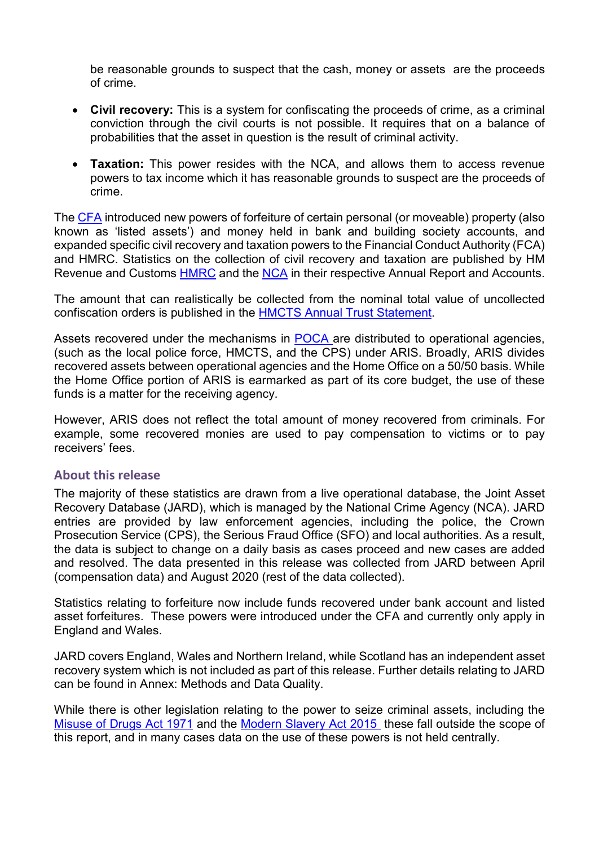be reasonable grounds to suspect that the cash, money or assets are the proceeds of crime.

- **Civil recovery:** This is a system for confiscating the proceeds of crime, as a criminal conviction through the civil courts is not possible. It requires that on a balance of probabilities that the asset in question is the result of criminal activity.
- **Taxation:** This power resides with the NCA, and allows them to access revenue powers to tax income which it has reasonable grounds to suspect are the proceeds of crime.

The [CFA](http://www.legislation.gov.uk/ukpga/2017/22/contents/enacted) introduced new powers of forfeiture of certain personal (or moveable) property (also known as 'listed assets') and money held in bank and building society accounts, and expanded specific civil recovery and taxation powers to the Financial Conduct Authority (FCA) and HMRC. Statistics on the collection of civil recovery and taxation are published by HM Revenue and Customs [HMRC](https://www.gov.uk/government/collections/hmrcs-annual-report-and-accounts) and the [NCA](https://www.nationalcrimeagency.gov.uk/news/nca-publishes-annual-report-2019-20) in their respective Annual Report and Accounts.

The amount that can realistically be collected from the nominal total value of uncollected confiscation orders is published in the [HMCTS Annual Trust Statement.](https://www.gov.uk/government/collections/hmcts-annual-reports-and-plans)

Assets recovered under the mechanisms in [POCA](http://www.legislation.gov.uk/ukpga/2002/29/contents) are distributed to operational agencies, (such as the local police force, HMCTS, and the CPS) under ARIS. Broadly, ARIS divides recovered assets between operational agencies and the Home Office on a 50/50 basis. While the Home Office portion of ARIS is earmarked as part of its core budget, the use of these funds is a matter for the receiving agency.

However, ARIS does not reflect the total amount of money recovered from criminals. For example, some recovered monies are used to pay compensation to victims or to pay receivers' fees.

### **About this release**

The majority of these statistics are drawn from a live operational database, the Joint Asset Recovery Database (JARD), which is managed by the National Crime Agency (NCA). JARD entries are provided by law enforcement agencies, including the police, the Crown Prosecution Service (CPS), the Serious Fraud Office (SFO) and local authorities. As a result, the data is subject to change on a daily basis as cases proceed and new cases are added and resolved. The data presented in this release was collected from JARD between April (compensation data) and August 2020 (rest of the data collected).

Statistics relating to forfeiture now include funds recovered under bank account and listed asset forfeitures. These powers were introduced under the CFA and currently only apply in England and Wales.

JARD covers England, Wales and Northern Ireland, while Scotland has an independent asset recovery system which is not included as part of this release. Further details relating to JARD can be found in Annex: Methods and Data Quality.

While there is other legislation relating to the power to seize criminal assets, including the [Misuse of Drugs Act 1971](http://www.legislation.gov.uk/ukpga/1971/38/contents) and the [Modern Slavery Act 2015](http://www.legislation.gov.uk/ukpga/2015/30/contents/) these fall outside the scope of this report, and in many cases data on the use of these powers is not held centrally.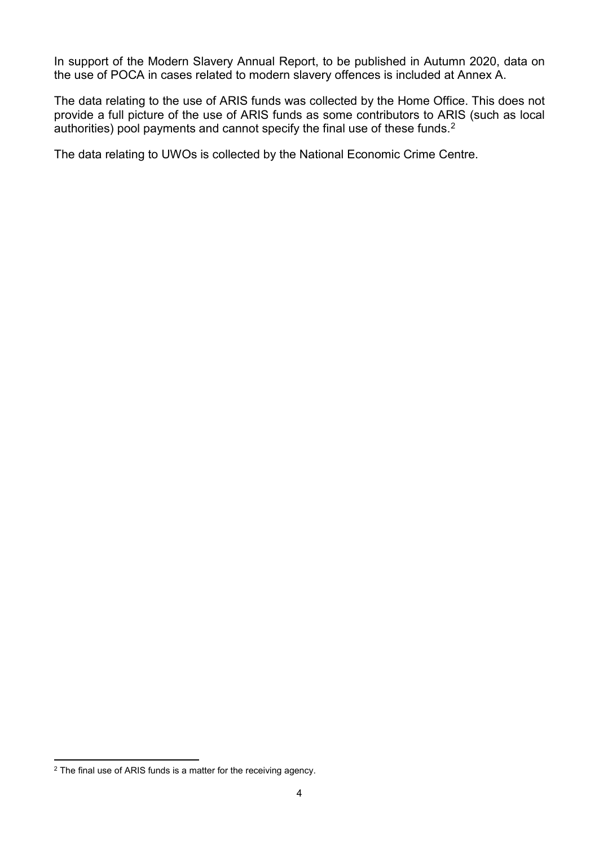In support of the Modern Slavery Annual Report, to be published in Autumn 2020, data on the use of POCA in cases related to modern slavery offences is included at Annex A.

The data relating to the use of ARIS funds was collected by the Home Office. This does not provide a full picture of the use of ARIS funds as some contributors to ARIS (such as local authorities) pool payments and cannot specify the final use of these funds. $^2$  $^2$ 

The data relating to UWOs is collected by the National Economic Crime Centre.

<span id="page-3-0"></span> $\overline{a}$  The final use of ARIS funds is a matter for the receiving agency.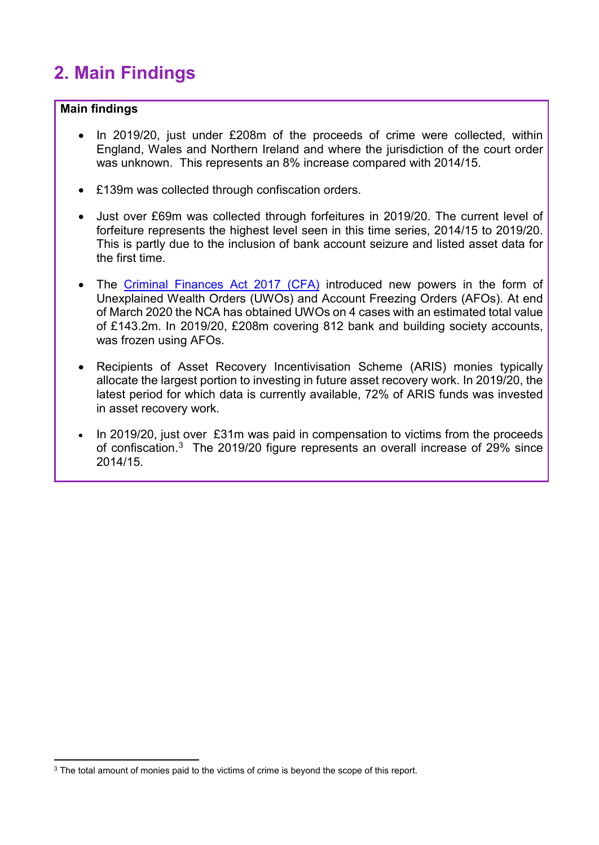# **2. Main Findings**

### **Main findings**

- In 2019/20, just under £208m of the proceeds of crime were collected, within England, Wales and Northern Ireland and where the jurisdiction of the court order was unknown. This represents an 8% increase compared with 2014/15.
- £139m was collected through confiscation orders.
- Just over £69m was collected through forfeitures in 2019/20. The current level of forfeiture represents the highest level seen in this time series, 2014/15 to 2019/20. This is partly due to the inclusion of bank account seizure and listed asset data for the first time.
- The [Criminal Finances Act 2017 \(CFA\)](http://www.legislation.gov.uk/ukpga/2017/22/contents/enacted) introduced new powers in the form of Unexplained Wealth Orders (UWOs) and Account Freezing Orders (AFOs). At end of March 2020 the NCA has obtained UWOs on 4 cases with an estimated total value of £143.2m. In 2019/20, £208m covering 812 bank and building society accounts, was frozen using AFOs.
- Recipients of Asset Recovery Incentivisation Scheme (ARIS) monies typically allocate the largest portion to investing in future asset recovery work. In 2019/20, the latest period for which data is currently available, 72% of ARIS funds was invested in asset recovery work.
- In 2019/20, just over £31m was paid in compensation to victims from the proceeds of confiscation.<sup>[3](#page-4-0)</sup> The 2019/20 figure represents an overall increase of 29% since 2014/15.

<span id="page-4-0"></span> $\overline{\phantom{a}^3}$  The total amount of monies paid to the victims of crime is beyond the scope of this report.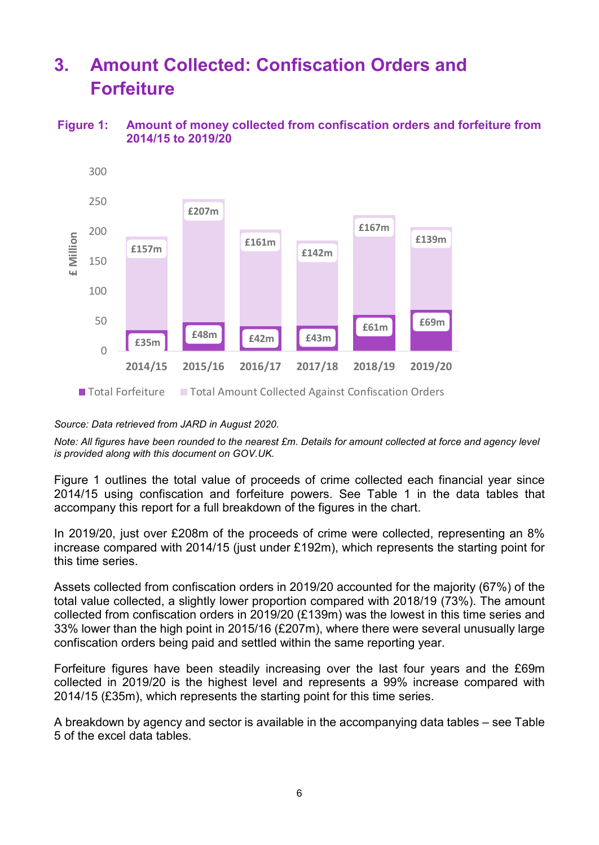# **3. Amount Collected: Confiscation Orders and Forfeiture**

### **Figure 1: Amount of money collected from confiscation orders and forfeiture from 2014/15 to 2019/20**



*Source: Data retrieved from JARD in August 2020.* 

*Note: All figures have been rounded to the nearest £m. Details for amount collected at force and agency level is provided along with this document on GOV.UK.* 

Figure 1 outlines the total value of proceeds of crime collected each financial year since 2014/15 using confiscation and forfeiture powers. See Table 1 in the data tables that accompany this report for a full breakdown of the figures in the chart.

In 2019/20, just over £208m of the proceeds of crime were collected, representing an 8% increase compared with 2014/15 (just under £192m), which represents the starting point for this time series.

Assets collected from confiscation orders in 2019/20 accounted for the majority (67%) of the total value collected, a slightly lower proportion compared with 2018/19 (73%). The amount collected from confiscation orders in 2019/20 (£139m) was the lowest in this time series and 33% lower than the high point in 2015/16 (£207m), where there were several unusually large confiscation orders being paid and settled within the same reporting year.

Forfeiture figures have been steadily increasing over the last four years and the £69m collected in 2019/20 is the highest level and represents a 99% increase compared with 2014/15 (£35m), which represents the starting point for this time series.

A breakdown by agency and sector is available in the accompanying data tables – see Table 5 of the excel data tables.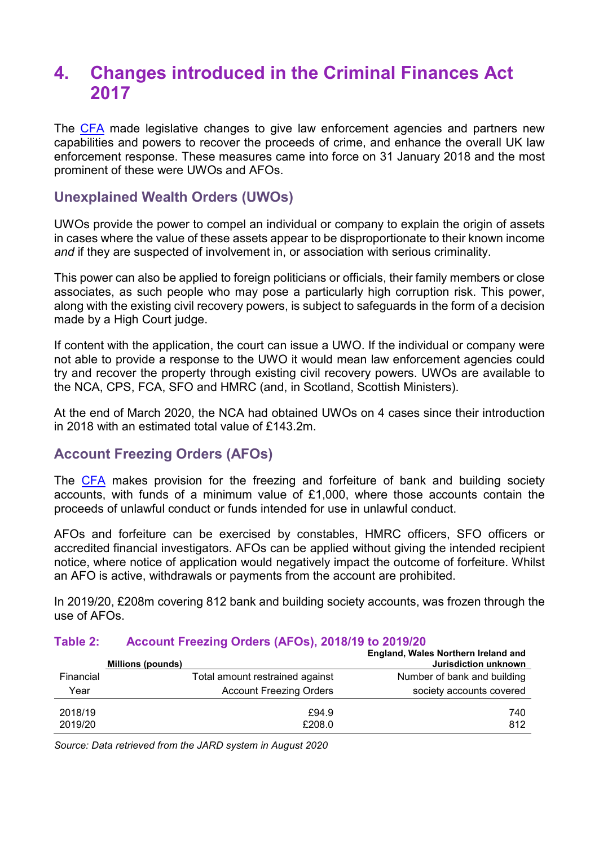### **4. Changes introduced in the Criminal Finances Act 2017**

The [CFA](http://www.legislation.gov.uk/ukpga/2017/22/contents/enacted) made legislative changes to give law enforcement agencies and partners new capabilities and powers to recover the proceeds of crime, and enhance the overall UK law enforcement response. These measures came into force on 31 January 2018 and the most prominent of these were UWOs and AFOs.

### **Unexplained Wealth Orders (UWOs)**

UWOs provide the power to compel an individual or company to explain the origin of assets in cases where the value of these assets appear to be disproportionate to their known income *and* if they are suspected of involvement in, or association with serious criminality.

This power can also be applied to foreign politicians or officials, their family members or close associates, as such people who may pose a particularly high corruption risk. This power, along with the existing civil recovery powers, is subject to safeguards in the form of a decision made by a High Court judge.

If content with the application, the court can issue a UWO. If the individual or company were not able to provide a response to the UWO it would mean law enforcement agencies could try and recover the property through existing civil recovery powers. UWOs are available to the NCA, CPS, FCA, SFO and HMRC (and, in Scotland, Scottish Ministers).

At the end of March 2020, the NCA had obtained UWOs on 4 cases since their introduction in 2018 with an estimated total value of £143.2m.

### **Account Freezing Orders (AFOs)**

The [CFA](http://www.legislation.gov.uk/ukpga/2017/22/contents/enacted) makes provision for the freezing and forfeiture of bank and building society accounts, with funds of a minimum value of £1,000, where those accounts contain the proceeds of unlawful conduct or funds intended for use in unlawful conduct.

AFOs and forfeiture can be exercised by constables, HMRC officers, SFO officers or accredited financial investigators. AFOs can be applied without giving the intended recipient notice, where notice of application would negatively impact the outcome of forfeiture. Whilst an AFO is active, withdrawals or payments from the account are prohibited.

In 2019/20, £208m covering 812 bank and building society accounts, was frozen through the use of AFOs.

|           | Millions (pounds)               | England, Wales Northern Ireland and<br>Jurisdiction unknown |
|-----------|---------------------------------|-------------------------------------------------------------|
| Financial | Total amount restrained against | Number of bank and building                                 |
| Year      | <b>Account Freezing Orders</b>  | society accounts covered                                    |
| 2018/19   | £94.9                           | 740                                                         |
| 2019/20   | £208.0                          | 812                                                         |

### **Table 2: Account Freezing Orders (AFOs), 2018/19 to 2019/20**

*Source: Data retrieved from the JARD system in August 2020*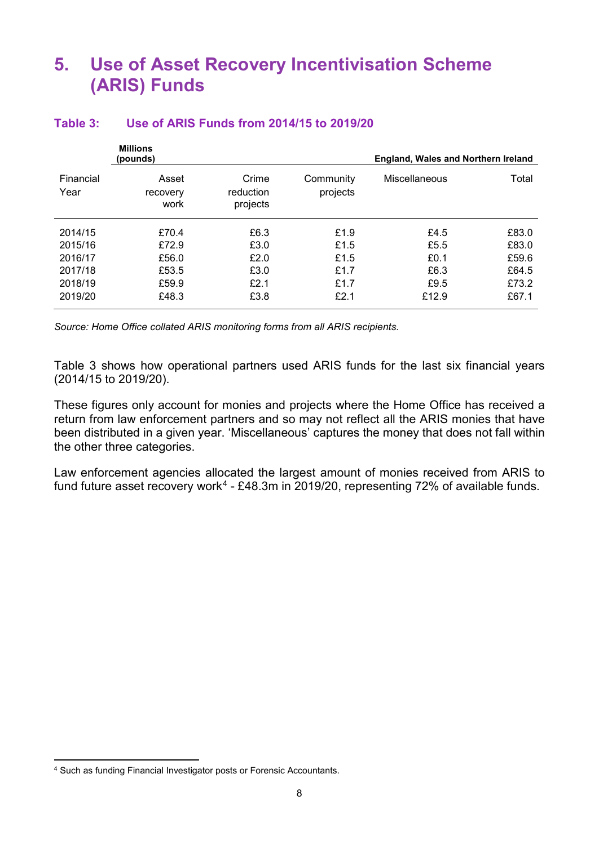### **5. Use of Asset Recovery Incentivisation Scheme (ARIS) Funds**

|                   | <b>Millions</b><br>(pounds) |                                |                       | England, Wales and Northern Ireland |       |  |
|-------------------|-----------------------------|--------------------------------|-----------------------|-------------------------------------|-------|--|
| Financial<br>Year | Asset<br>recovery<br>work   | Crime<br>reduction<br>projects | Community<br>projects | Miscellaneous                       | Total |  |
| 2014/15           | £70.4                       | £6.3                           | £1.9                  | £4.5                                | £83.0 |  |
| 2015/16           | £72.9                       | £3.0                           | £1.5                  | £5.5                                | £83.0 |  |
| 2016/17           | £56.0                       | £2.0                           | £1.5                  | £0.1                                | £59.6 |  |
| 2017/18           | £53.5                       | £3.0                           | £1.7                  | £6.3                                | £64.5 |  |
| 2018/19           | £59.9                       | £2.1                           | £1.7                  | £9.5                                | £73.2 |  |
| 2019/20           | £48.3                       | £3.8                           | £2.1                  | £12.9                               | £67.1 |  |

#### **Table 3: Use of ARIS Funds from 2014/15 to 2019/20**

*Source: Home Office collated ARIS monitoring forms from all ARIS recipients.*

Table 3 shows how operational partners used ARIS funds for the last six financial years (2014/15 to 2019/20).

These figures only account for monies and projects where the Home Office has received a return from law enforcement partners and so may not reflect all the ARIS monies that have been distributed in a given year. 'Miscellaneous' captures the money that does not fall within the other three categories.

Law enforcement agencies allocated the largest amount of monies received from ARIS to fund future asset recovery work<sup>[4](#page-7-0)</sup> - £48.3m in 2019/20, representing 72% of available funds.

<span id="page-7-0"></span> <sup>4</sup> Such as funding Financial Investigator posts or Forensic Accountants.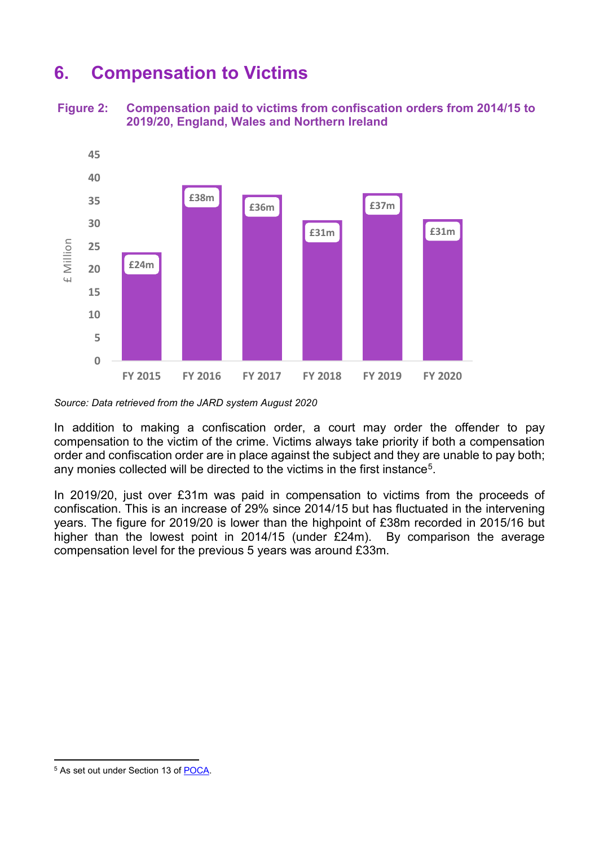### **6. Compensation to Victims**

**Figure 2: Compensation paid to victims from confiscation orders from 2014/15 to 2019/20, England, Wales and Northern Ireland**



*Source: Data retrieved from the JARD system August 2020*

In addition to making a confiscation order, a court may order the offender to pay compensation to the victim of the crime. Victims always take priority if both a compensation order and confiscation order are in place against the subject and they are unable to pay both; any monies collected will be directed to the victims in the first instance<sup>[5](#page-8-0)</sup>.

In 2019/20, just over £31m was paid in compensation to victims from the proceeds of confiscation. This is an increase of 29% since 2014/15 but has fluctuated in the intervening years. The figure for 2019/20 is lower than the highpoint of £38m recorded in 2015/16 but higher than the lowest point in 2014/15 (under £24m). By comparison the average compensation level for the previous 5 years was around £33m.

<span id="page-8-0"></span> <sup>5</sup> As set out under Section 13 of [POCA.](http://www.legislation.gov.uk/ukpga/2002/29/contents)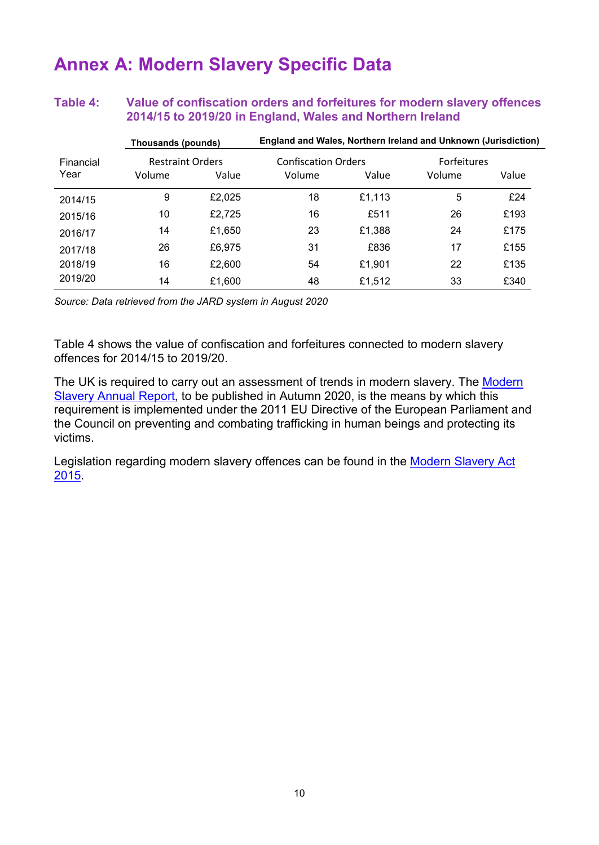### **Annex A: Modern Slavery Specific Data**

### **Table 4: Value of confiscation orders and forfeitures for modern slavery offences 2014/15 to 2019/20 in England, Wales and Northern Ireland**

|           | Thousands (pounds)      |        | England and Wales, Northern Ireland and Unknown (Jurisdiction) |        |                    |       |
|-----------|-------------------------|--------|----------------------------------------------------------------|--------|--------------------|-------|
| Financial | <b>Restraint Orders</b> |        | <b>Confiscation Orders</b>                                     |        | <b>Forfeitures</b> |       |
| Year      | Volume                  | Value  | Volume                                                         | Value  | Volume             | Value |
| 2014/15   | 9                       | £2,025 | 18                                                             | £1,113 | 5                  | £24   |
| 2015/16   | 10                      | £2,725 | 16                                                             | £511   | 26                 | £193  |
| 2016/17   | 14                      | £1,650 | 23                                                             | £1,388 | 24                 | £175  |
| 2017/18   | 26                      | £6,975 | 31                                                             | £836   | 17                 | £155  |
| 2018/19   | 16                      | £2,600 | 54                                                             | £1.901 | 22                 | £135  |
| 2019/20   | 14                      | £1,600 | 48                                                             | £1.512 | 33                 | £340  |

*Source: Data retrieved from the JARD system in August 2020*

Table 4 shows the value of confiscation and forfeitures connected to modern slavery offences for 2014/15 to 2019/20.

The UK is required to carry out an assessment of trends in modern slavery. The [Modern](https://www.gov.uk/government/collections/modern-slavery)  [Slavery Annual Report,](https://www.gov.uk/government/collections/modern-slavery) to be published in Autumn 2020, is the means by which this requirement is implemented under the 2011 EU Directive of the European Parliament and the Council on preventing and combating trafficking in human beings and protecting its victims.

Legislation regarding modern slavery offences can be found in the Modern Slavery Act [2015.](http://www.legislation.gov.uk/ukpga/2015/30/contents/)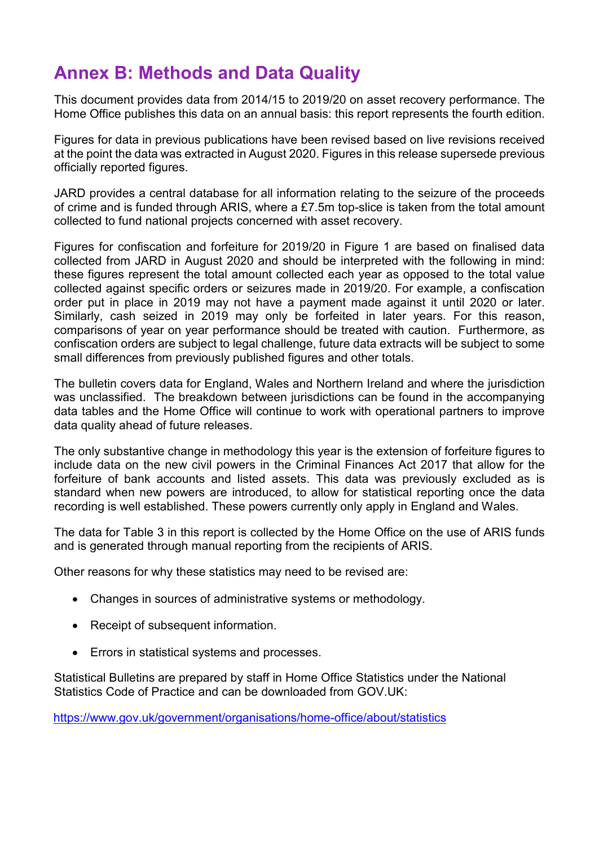# **Annex B: Methods and Data Quality**

This document provides data from 2014/15 to 2019/20 on asset recovery performance. The Home Office publishes this data on an annual basis: this report represents the fourth edition.

Figures for data in previous publications have been revised based on live revisions received at the point the data was extracted in August 2020. Figures in this release supersede previous officially reported figures.

JARD provides a central database for all information relating to the seizure of the proceeds of crime and is funded through ARIS, where a £7.5m top-slice is taken from the total amount collected to fund national projects concerned with asset recovery.

Figures for confiscation and forfeiture for 2019/20 in Figure 1 are based on finalised data collected from JARD in August 2020 and should be interpreted with the following in mind: these figures represent the total amount collected each year as opposed to the total value collected against specific orders or seizures made in 2019/20. For example, a confiscation order put in place in 2019 may not have a payment made against it until 2020 or later. Similarly, cash seized in 2019 may only be forfeited in later years. For this reason, comparisons of year on year performance should be treated with caution. Furthermore, as confiscation orders are subject to legal challenge, future data extracts will be subject to some small differences from previously published figures and other totals.

The bulletin covers data for England, Wales and Northern Ireland and where the jurisdiction was unclassified. The breakdown between jurisdictions can be found in the accompanying data tables and the Home Office will continue to work with operational partners to improve data quality ahead of future releases.

The only substantive change in methodology this year is the extension of forfeiture figures to include data on the new civil powers in the Criminal Finances Act 2017 that allow for the forfeiture of bank accounts and listed assets. This data was previously excluded as is standard when new powers are introduced, to allow for statistical reporting once the data recording is well established. These powers currently only apply in England and Wales.

The data for Table 3 in this report is collected by the Home Office on the use of ARIS funds and is generated through manual reporting from the recipients of ARIS.

Other reasons for why these statistics may need to be revised are:

- Changes in sources of administrative systems or methodology.
- Receipt of subsequent information.
- Errors in statistical systems and processes.

Statistical Bulletins are prepared by staff in Home Office Statistics under the National Statistics Code of Practice and can be downloaded from GOV.UK:

<https://www.gov.uk/government/organisations/home-office/about/statistics>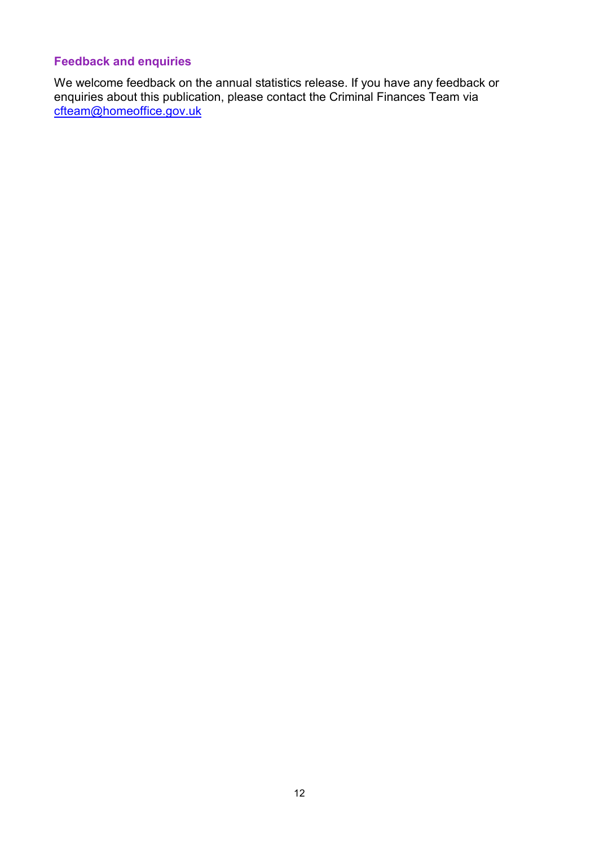### **Feedback and enquiries**

We welcome feedback on the annual statistics release. If you have any feedback or enquiries about this publication, please contact the Criminal Finances Team via <u>[cfteam@homeoffice.go](mailto:cfteam@homeoffice.gov.uk)v.uk</u>